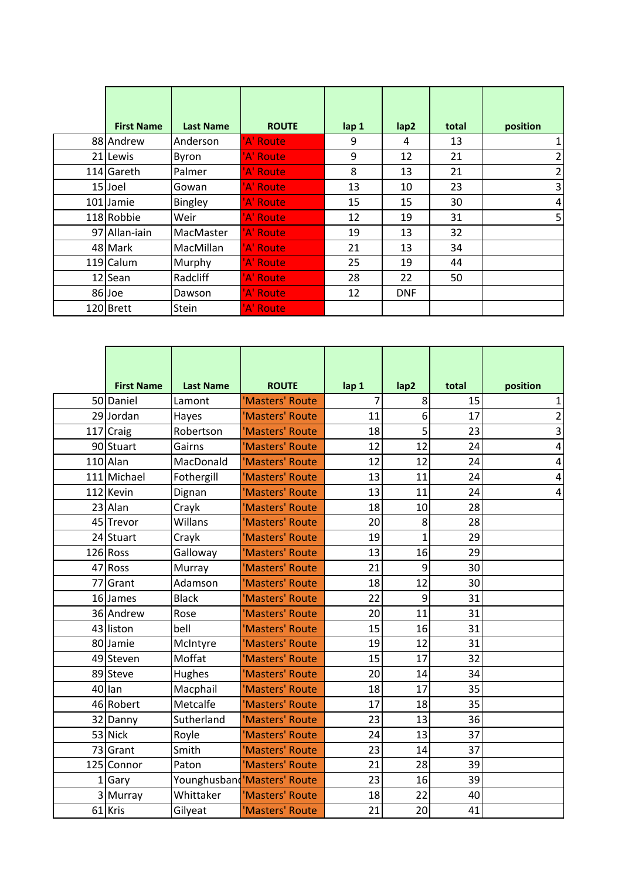| <b>First Name</b> | <b>Last Name</b> | <b>ROUTE</b> | lap 1 | lap2       | total | position |
|-------------------|------------------|--------------|-------|------------|-------|----------|
| 88 Andrew         | Anderson         | 'A' Route    | 9     | 4          | 13    |          |
| 21 Lewis          | <b>Byron</b>     | 'A' Route    | 9     | 12         | 21    | 2        |
| 114 Gareth        | Palmer           | A' Route     | 8     | 13         | 21    | 2        |
| 15 Joel           | Gowan            | 'A' Route    | 13    | 10         | 23    | 3        |
| 101 Jamie         | <b>Bingley</b>   | 'A' Route    | 15    | 15         | 30    | 4        |
| 118 Robbie        | Weir             | 'A' Route    | 12    | 19         | 31    | 5        |
| 97 Allan-jain     | MacMaster        | 'A' Route    | 19    | 13         | 32    |          |
| 48 Mark           | MacMillan        | 'A' Route    | 21    | 13         | 34    |          |
| 119 Calum         | Murphy           | 'A' Route    | 25    | 19         | 44    |          |
| 12 Sean           | Radcliff         | 'A' Route    | 28    | 22         | 50    |          |
| 86 Joe            | Dawson           | 'A' Route    | 12    | <b>DNF</b> |       |          |
| 120 Brett         | <b>Stein</b>     | 'A' Route    |       |            |       |          |

|    | <b>First Name</b> | <b>Last Name</b> | <b>ROUTE</b>                 | lap 1          | lap2         | total | position       |
|----|-------------------|------------------|------------------------------|----------------|--------------|-------|----------------|
|    | 50 Daniel         | Lamont           | 'Masters' Route              | $\overline{7}$ | 8            | 15    | 1              |
|    | 29 Jordan         | Hayes            | 'Masters' Route              | 11             | 6            | 17    | $\overline{2}$ |
|    | 117 Craig         | Robertson        | 'Masters' Route              | 18             | 5            | 23    | 3              |
|    | 90 Stuart         | Gairns           | 'Masters' Route              | 12             | 12           | 24    | 4              |
|    | 110 Alan          | MacDonald        | 'Masters' Route              | 12             | 12           | 24    | 4              |
|    | 111 Michael       | Fothergill       | 'Masters' Route              | 13             | 11           | 24    | 4              |
|    | 112 Kevin         | Dignan           | 'Masters' Route              | 13             | 11           | 24    | 4              |
|    | 23 Alan           | Crayk            | 'Masters' Route              | 18             | 10           | 28    |                |
|    | 45 Trevor         | Willans          | 'Masters' Route              | 20             | 8            | 28    |                |
|    | 24 Stuart         | Crayk            | 'Masters' Route              | 19             | $\mathbf{1}$ | 29    |                |
|    | 126 Ross          | Galloway         | 'Masters' Route              | 13             | 16           | 29    |                |
| 47 | Ross              | Murray           | 'Masters' Route              | 21             | 9            | 30    |                |
| 77 | Grant             | Adamson          | 'Masters' Route              | 18             | 12           | 30    |                |
|    | 16 James          | <b>Black</b>     | 'Masters' Route              | 22             | 9            | 31    |                |
|    | 36 Andrew         | Rose             | 'Masters' Route              | 20             | 11           | 31    |                |
|    | 43 liston         | bell             | 'Masters' Route              | 15             | 16           | 31    |                |
|    | 80 Jamie          | McIntyre         | 'Masters' Route              | 19             | 12           | 31    |                |
|    | 49 Steven         | Moffat           | 'Masters' Route              | 15             | 17           | 32    |                |
|    | 89 Steve          | Hughes           | 'Masters' Route              | 20             | 14           | 34    |                |
|    | 40 lan            | Macphail         | 'Masters' Route              | 18             | 17           | 35    |                |
|    | 46 Robert         | Metcalfe         | 'Masters' Route              | 17             | 18           | 35    |                |
|    | 32 Danny          | Sutherland       | 'Masters' Route              | 23             | 13           | 36    |                |
|    | 53 Nick           | Royle            | 'Masters' Route              | 24             | 13           | 37    |                |
|    | 73 Grant          | Smith            | 'Masters' Route              | 23             | 14           | 37    |                |
|    | 125 Connor        | Paton            | 'Masters' Route              | 21             | 28           | 39    |                |
|    | Gary              |                  | Younghusband 'Masters' Route | 23             | 16           | 39    |                |
|    | 3 Murray          | Whittaker        | 'Masters' Route              | 18             | 22           | 40    |                |
|    | 61 Kris           | Gilyeat          | 'Masters' Route              | 21             | 20           | 41    |                |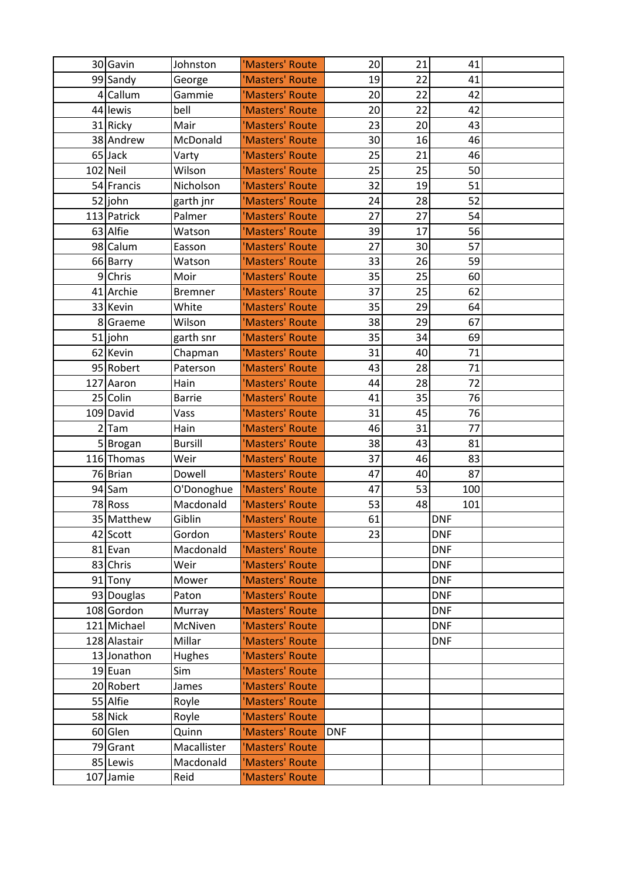| 30 Gavin     | Johnston       | 'Masters' Route | 20         | 21 | 41         |  |
|--------------|----------------|-----------------|------------|----|------------|--|
| 99 Sandy     | George         | 'Masters' Route | 19         | 22 | 41         |  |
| 4 Callum     | Gammie         | 'Masters' Route | 20         | 22 | 42         |  |
| 44 lewis     | bell           | 'Masters' Route | 20         | 22 | 42         |  |
| 31 Ricky     | Mair           | 'Masters' Route | 23         | 20 | 43         |  |
| 38 Andrew    | McDonald       | 'Masters' Route | 30         | 16 | 46         |  |
| 65 Jack      | Varty          | 'Masters' Route | 25         | 21 | 46         |  |
| $102$ Neil   | Wilson         | 'Masters' Route | 25         | 25 | 50         |  |
| 54 Francis   | Nicholson      | 'Masters' Route | 32         | 19 | 51         |  |
| 52 john      | garth jnr      | 'Masters' Route | 24         | 28 | 52         |  |
| 113 Patrick  | Palmer         | 'Masters' Route | 27         | 27 | 54         |  |
| 63 Alfie     | Watson         | 'Masters' Route | 39         | 17 | 56         |  |
| 98 Calum     | Easson         | 'Masters' Route | 27         | 30 | 57         |  |
| 66 Barry     | Watson         | 'Masters' Route | 33         | 26 | 59         |  |
| 9 Chris      | Moir           | 'Masters' Route | 35         | 25 | 60         |  |
| 41 Archie    | <b>Bremner</b> | 'Masters' Route | 37         | 25 | 62         |  |
| 33 Kevin     | White          | 'Masters' Route | 35         | 29 | 64         |  |
| 8 Graeme     | Wilson         | 'Masters' Route | 38         | 29 | 67         |  |
| 51 john      | garth snr      | 'Masters' Route | 35         | 34 | 69         |  |
| 62 Kevin     | Chapman        | 'Masters' Route | 31         | 40 | 71         |  |
| 95 Robert    | Paterson       | 'Masters' Route | 43         | 28 | 71         |  |
| 127 Aaron    | Hain           | 'Masters' Route | 44         | 28 | 72         |  |
| 25 Colin     | <b>Barrie</b>  | 'Masters' Route | 41         | 35 | 76         |  |
| 109 David    | Vass           | 'Masters' Route | 31         | 45 | 76         |  |
| $2$ Tam      | Hain           | 'Masters' Route | 46         | 31 | 77         |  |
| 5 Brogan     | <b>Bursill</b> | 'Masters' Route | 38         | 43 | 81         |  |
| 116 Thomas   | Weir           | 'Masters' Route | 37         | 46 | 83         |  |
| 76 Brian     | Dowell         | 'Masters' Route | 47         | 40 | 87         |  |
| 94 Sam       | O'Donoghue     | 'Masters' Route | 47         | 53 | 100        |  |
| 78 Ross      | Macdonald      | 'Masters' Route | 53         | 48 | 101        |  |
| 35 Matthew   | Giblin         | 'Masters' Route | 61         |    | <b>DNF</b> |  |
| 42 Scott     | Gordon         | 'Masters' Route | 23         |    | <b>DNF</b> |  |
| 81 Evan      | Macdonald      | 'Masters' Route |            |    | <b>DNF</b> |  |
| 83 Chris     | Weir           | 'Masters' Route |            |    | <b>DNF</b> |  |
| 91 Tony      | Mower          | 'Masters' Route |            |    | <b>DNF</b> |  |
| 93 Douglas   | Paton          | 'Masters' Route |            |    | <b>DNF</b> |  |
| 108 Gordon   | Murray         | 'Masters' Route |            |    | <b>DNF</b> |  |
| 121 Michael  | McNiven        | 'Masters' Route |            |    | <b>DNF</b> |  |
| 128 Alastair | Millar         | 'Masters' Route |            |    | <b>DNF</b> |  |
| 13 Jonathon  | Hughes         | 'Masters' Route |            |    |            |  |
| 19 Euan      | Sim            | 'Masters' Route |            |    |            |  |
| 20 Robert    | James          | 'Masters' Route |            |    |            |  |
| 55 Alfie     | Royle          | 'Masters' Route |            |    |            |  |
| 58 Nick      | Royle          | 'Masters' Route |            |    |            |  |
| 60 Glen      | Quinn          | 'Masters' Route | <b>DNF</b> |    |            |  |
| 79 Grant     | Macallister    | 'Masters' Route |            |    |            |  |
| 85 Lewis     | Macdonald      | 'Masters' Route |            |    |            |  |
| 107 Jamie    | Reid           | 'Masters' Route |            |    |            |  |